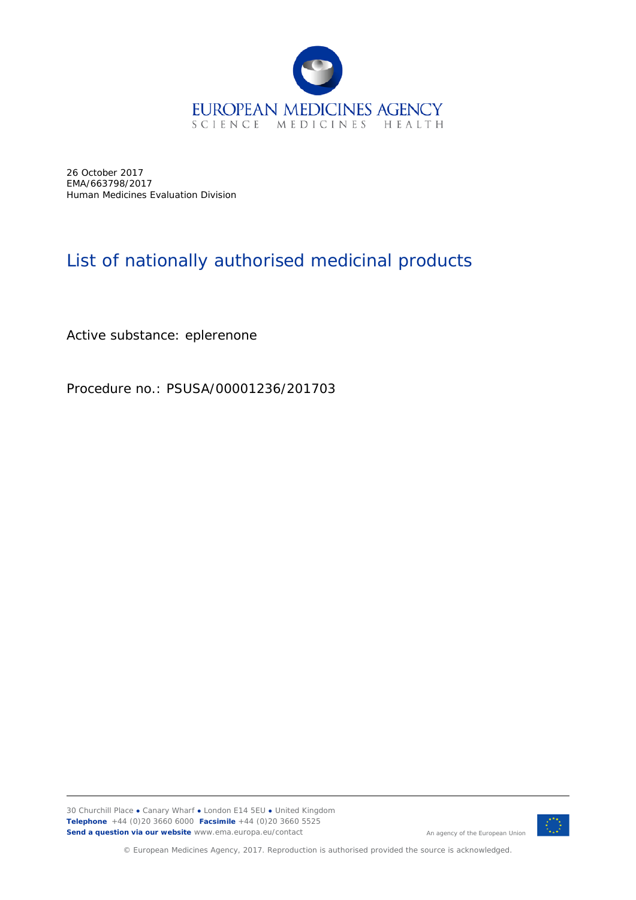

26 October 2017 EMA/663798/2017 Human Medicines Evaluation Division

## List of nationally authorised medicinal products

Active substance: eplerenone

Procedure no.: PSUSA/00001236/201703



© European Medicines Agency, 2017. Reproduction is authorised provided the source is acknowledged.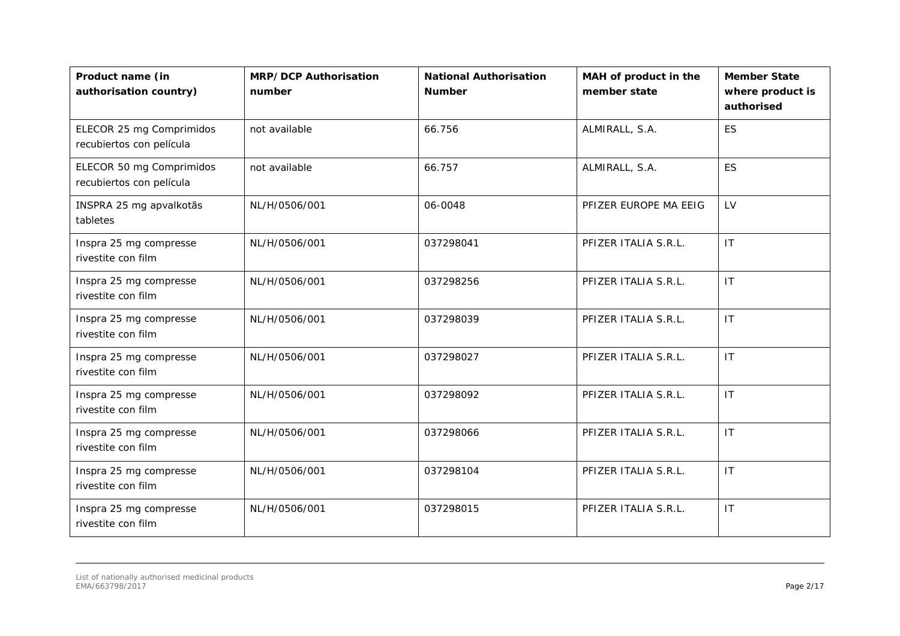| Product name (in<br>authorisation country)           | <b>MRP/DCP Authorisation</b><br>number | <b>National Authorisation</b><br><b>Number</b> | MAH of product in the<br>member state | <b>Member State</b><br>where product is<br>authorised |
|------------------------------------------------------|----------------------------------------|------------------------------------------------|---------------------------------------|-------------------------------------------------------|
| ELECOR 25 mg Comprimidos<br>recubiertos con película | not available                          | 66.756                                         | ALMIRALL, S.A.                        | <b>ES</b>                                             |
| ELECOR 50 mg Comprimidos<br>recubiertos con película | not available                          | 66.757                                         | ALMIRALL, S.A.                        | <b>ES</b>                                             |
| INSPRA 25 mg apvalkotās<br>tabletes                  | NL/H/0506/001                          | 06-0048                                        | PFIZER EUROPE MA EEIG                 | LV                                                    |
| Inspra 25 mg compresse<br>rivestite con film         | NL/H/0506/001                          | 037298041                                      | PFIZER ITALIA S.R.L.                  | IT                                                    |
| Inspra 25 mg compresse<br>rivestite con film         | NL/H/0506/001                          | 037298256                                      | PFIZER ITALIA S.R.L.                  | IT                                                    |
| Inspra 25 mg compresse<br>rivestite con film         | NL/H/0506/001                          | 037298039                                      | PFIZER ITALIA S.R.L.                  | IT                                                    |
| Inspra 25 mg compresse<br>rivestite con film         | NL/H/0506/001                          | 037298027                                      | PFIZER ITALIA S.R.L.                  | <b>IT</b>                                             |
| Inspra 25 mg compresse<br>rivestite con film         | NL/H/0506/001                          | 037298092                                      | PFIZER ITALIA S.R.L.                  | IT                                                    |
| Inspra 25 mg compresse<br>rivestite con film         | NL/H/0506/001                          | 037298066                                      | PFIZER ITALIA S.R.L.                  | $\mathsf{I}\mathsf{T}$                                |
| Inspra 25 mg compresse<br>rivestite con film         | NL/H/0506/001                          | 037298104                                      | PFIZER ITALIA S.R.L.                  | IT                                                    |
| Inspra 25 mg compresse<br>rivestite con film         | NL/H/0506/001                          | 037298015                                      | PFIZER ITALIA S.R.L.                  | $\mathsf{I}\mathsf{T}$                                |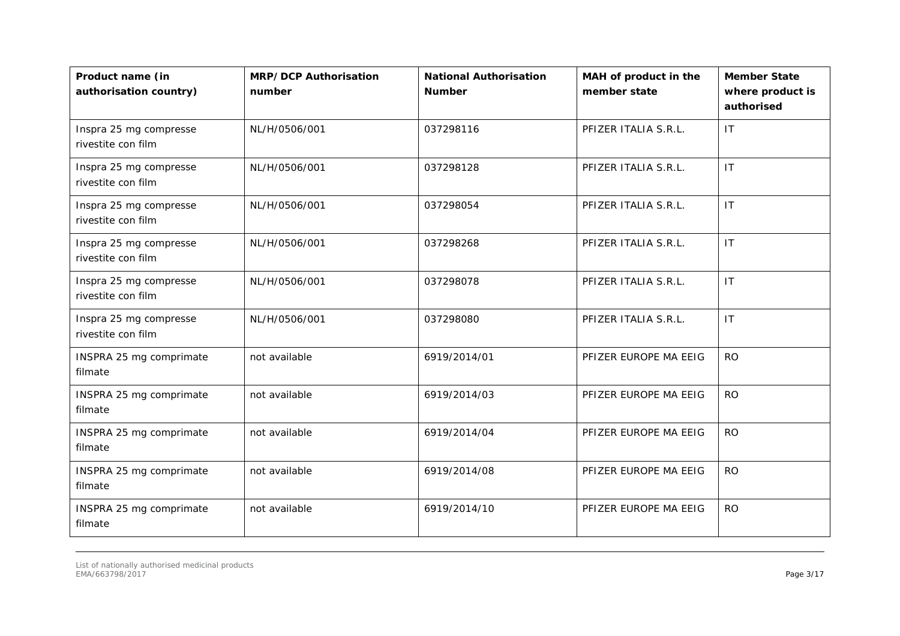| Product name (in<br>authorisation country)   | <b>MRP/DCP Authorisation</b><br>number | <b>National Authorisation</b><br><b>Number</b> | MAH of product in the<br>member state | <b>Member State</b><br>where product is<br>authorised |
|----------------------------------------------|----------------------------------------|------------------------------------------------|---------------------------------------|-------------------------------------------------------|
| Inspra 25 mg compresse<br>rivestite con film | NL/H/0506/001                          | 037298116                                      | PFIZER ITALIA S.R.L.                  | IT.                                                   |
| Inspra 25 mg compresse<br>rivestite con film | NL/H/0506/001                          | 037298128                                      | PFIZER ITALIA S.R.L.                  | IT                                                    |
| Inspra 25 mg compresse<br>rivestite con film | NL/H/0506/001                          | 037298054                                      | PFIZER ITALIA S.R.L.                  | $\mathsf{I}\mathsf{T}$                                |
| Inspra 25 mg compresse<br>rivestite con film | NL/H/0506/001                          | 037298268                                      | PFIZER ITALIA S.R.L.                  | $\mathsf{I}\mathsf{T}$                                |
| Inspra 25 mg compresse<br>rivestite con film | NL/H/0506/001                          | 037298078                                      | PFIZER ITALIA S.R.L.                  | $\mathsf{I}\mathsf{T}$                                |
| Inspra 25 mg compresse<br>rivestite con film | NL/H/0506/001                          | 037298080                                      | PFIZER ITALIA S.R.L.                  | IT                                                    |
| INSPRA 25 mg comprimate<br>filmate           | not available                          | 6919/2014/01                                   | PFIZER EUROPE MA EEIG                 | <b>RO</b>                                             |
| INSPRA 25 mg comprimate<br>filmate           | not available                          | 6919/2014/03                                   | PFIZER EUROPE MA EEIG                 | <b>RO</b>                                             |
| INSPRA 25 mg comprimate<br>filmate           | not available                          | 6919/2014/04                                   | PFIZER EUROPE MA EEIG                 | <b>RO</b>                                             |
| INSPRA 25 mg comprimate<br>filmate           | not available                          | 6919/2014/08                                   | PFIZER EUROPE MA EEIG                 | <b>RO</b>                                             |
| INSPRA 25 mg comprimate<br>filmate           | not available                          | 6919/2014/10                                   | PFIZER EUROPE MA EEIG                 | <b>RO</b>                                             |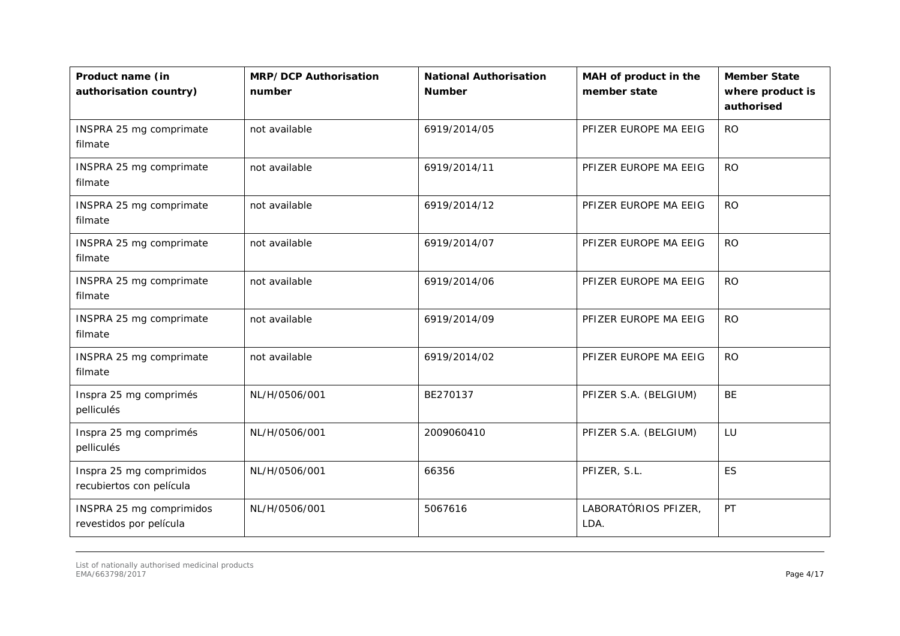| Product name (in<br>authorisation country)           | <b>MRP/DCP Authorisation</b><br>number | <b>National Authorisation</b><br><b>Number</b> | MAH of product in the<br>member state | <b>Member State</b><br>where product is<br>authorised |
|------------------------------------------------------|----------------------------------------|------------------------------------------------|---------------------------------------|-------------------------------------------------------|
| INSPRA 25 mg comprimate<br>filmate                   | not available                          | 6919/2014/05                                   | PFIZER EUROPE MA EEIG                 | <b>RO</b>                                             |
| INSPRA 25 mg comprimate<br>filmate                   | not available                          | 6919/2014/11                                   | PFIZER EUROPE MA EEIG                 | <b>RO</b>                                             |
| INSPRA 25 mg comprimate<br>filmate                   | not available                          | 6919/2014/12                                   | PFIZER EUROPE MA EEIG                 | <b>RO</b>                                             |
| INSPRA 25 mg comprimate<br>filmate                   | not available                          | 6919/2014/07                                   | PFIZER EUROPE MA EEIG                 | <b>RO</b>                                             |
| INSPRA 25 mg comprimate<br>filmate                   | not available                          | 6919/2014/06                                   | PFIZER EUROPE MA EEIG                 | <b>RO</b>                                             |
| INSPRA 25 mg comprimate<br>filmate                   | not available                          | 6919/2014/09                                   | PFIZER EUROPE MA EEIG                 | <b>RO</b>                                             |
| INSPRA 25 mg comprimate<br>filmate                   | not available                          | 6919/2014/02                                   | PFIZER EUROPE MA EEIG                 | <b>RO</b>                                             |
| Inspra 25 mg comprimés<br>pelliculés                 | NL/H/0506/001                          | BE270137                                       | PFIZER S.A. (BELGIUM)                 | BE                                                    |
| Inspra 25 mg comprimés<br>pelliculés                 | NL/H/0506/001                          | 2009060410                                     | PFIZER S.A. (BELGIUM)                 | LU                                                    |
| Inspra 25 mg comprimidos<br>recubiertos con película | NL/H/0506/001                          | 66356                                          | PFIZER, S.L.                          | ES                                                    |
| INSPRA 25 mg comprimidos<br>revestidos por película  | NL/H/0506/001                          | 5067616                                        | LABORATÓRIOS PFIZER,<br>LDA.          | PT                                                    |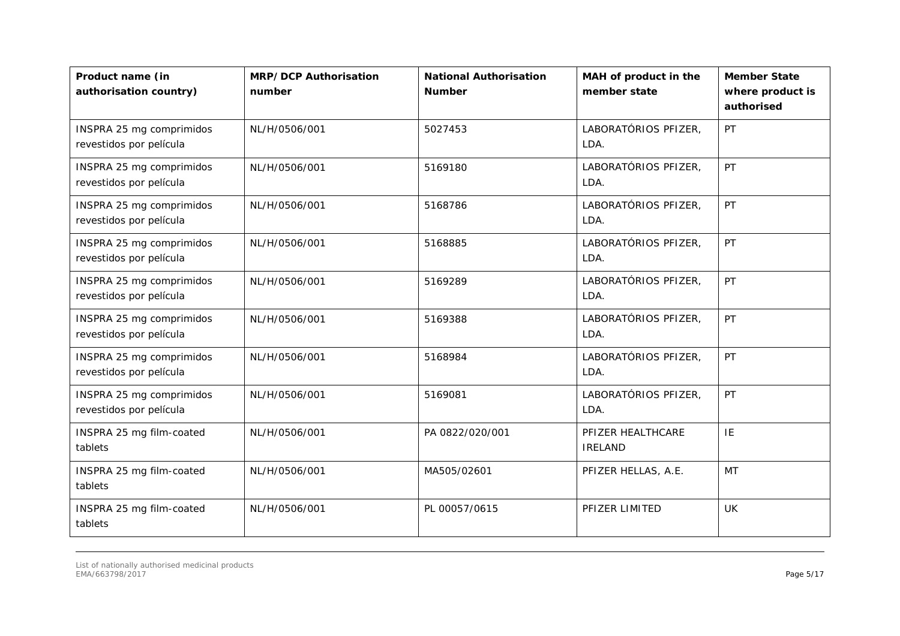| Product name (in<br>authorisation country)          | <b>MRP/DCP Authorisation</b><br>number | <b>National Authorisation</b><br><b>Number</b> | MAH of product in the<br>member state | <b>Member State</b><br>where product is<br>authorised |
|-----------------------------------------------------|----------------------------------------|------------------------------------------------|---------------------------------------|-------------------------------------------------------|
| INSPRA 25 mg comprimidos<br>revestidos por película | NL/H/0506/001                          | 5027453                                        | LABORATÓRIOS PFIZER,<br>LDA.          | PT                                                    |
| INSPRA 25 mg comprimidos<br>revestidos por película | NL/H/0506/001                          | 5169180                                        | LABORATÓRIOS PFIZER,<br>LDA.          | PT                                                    |
| INSPRA 25 mg comprimidos<br>revestidos por película | NL/H/0506/001                          | 5168786                                        | LABORATÓRIOS PFIZER,<br>LDA.          | <b>PT</b>                                             |
| INSPRA 25 mg comprimidos<br>revestidos por película | NL/H/0506/001                          | 5168885                                        | LABORATÓRIOS PFIZER,<br>LDA.          | PT                                                    |
| INSPRA 25 mg comprimidos<br>revestidos por película | NL/H/0506/001                          | 5169289                                        | LABORATÓRIOS PFIZER,<br>LDA.          | PT                                                    |
| INSPRA 25 mg comprimidos<br>revestidos por película | NL/H/0506/001                          | 5169388                                        | LABORATÓRIOS PFIZER,<br>LDA.          | PT                                                    |
| INSPRA 25 mg comprimidos<br>revestidos por película | NL/H/0506/001                          | 5168984                                        | LABORATÓRIOS PFIZER,<br>LDA.          | PT                                                    |
| INSPRA 25 mg comprimidos<br>revestidos por película | NL/H/0506/001                          | 5169081                                        | LABORATÓRIOS PFIZER,<br>LDA.          | PT                                                    |
| INSPRA 25 mg film-coated<br>tablets                 | NL/H/0506/001                          | PA 0822/020/001                                | PFIZER HEALTHCARE<br><b>IRELAND</b>   | IE                                                    |
| INSPRA 25 mg film-coated<br>tablets                 | NL/H/0506/001                          | MA505/02601                                    | PFIZER HELLAS, A.E.                   | MT                                                    |
| INSPRA 25 mg film-coated<br>tablets                 | NL/H/0506/001                          | PL 00057/0615                                  | PFIZER LIMITED                        | <b>UK</b>                                             |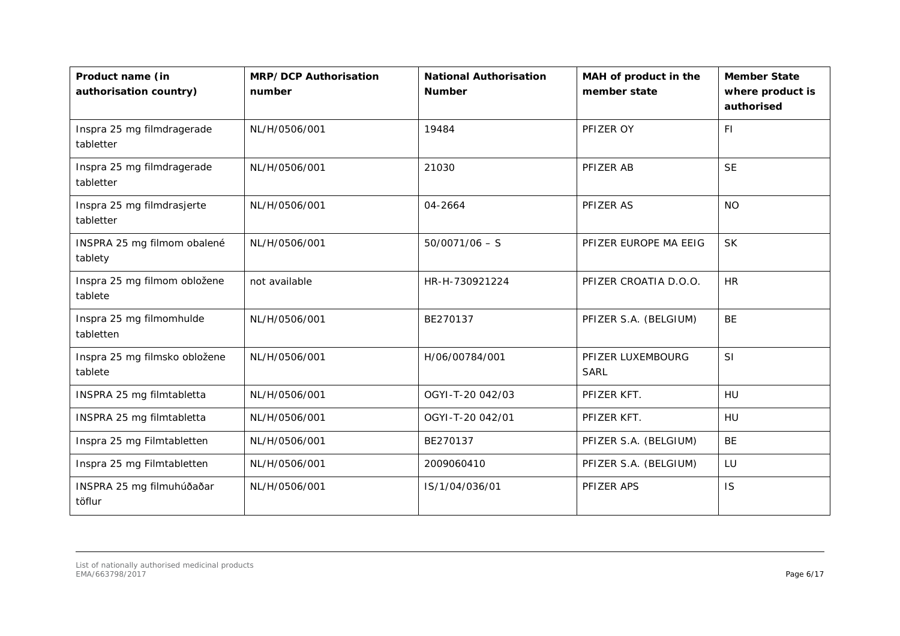| Product name (in<br>authorisation country) | <b>MRP/DCP Authorisation</b><br>number | <b>National Authorisation</b><br><b>Number</b> | MAH of product in the<br>member state | <b>Member State</b><br>where product is<br>authorised |
|--------------------------------------------|----------------------------------------|------------------------------------------------|---------------------------------------|-------------------------------------------------------|
| Inspra 25 mg filmdragerade<br>tabletter    | NL/H/0506/001                          | 19484                                          | PFIZER OY                             | <b>FI</b>                                             |
| Inspra 25 mg filmdragerade<br>tabletter    | NL/H/0506/001                          | 21030                                          | PFIZER AB                             | <b>SE</b>                                             |
| Inspra 25 mg filmdrasjerte<br>tabletter    | NL/H/0506/001                          | 04-2664                                        | PFIZER AS                             | <b>NO</b>                                             |
| INSPRA 25 mg filmom obalené<br>tablety     | NL/H/0506/001                          | $50/0071/06 - S$                               | PFIZER EUROPE MA EEIG                 | <b>SK</b>                                             |
| Inspra 25 mg filmom obložene<br>tablete    | not available                          | HR-H-730921224                                 | PFIZER CROATIA D.O.O.                 | <b>HR</b>                                             |
| Inspra 25 mg filmomhulde<br>tabletten      | NL/H/0506/001                          | BE270137                                       | PFIZER S.A. (BELGIUM)                 | <b>BE</b>                                             |
| Inspra 25 mg filmsko obložene<br>tablete   | NL/H/0506/001                          | H/06/00784/001                                 | PFIZER LUXEMBOURG<br><b>SARL</b>      | SI                                                    |
| INSPRA 25 mg filmtabletta                  | NL/H/0506/001                          | OGYI-T-20 042/03                               | PFIZER KFT.                           | HU                                                    |
| INSPRA 25 mg filmtabletta                  | NL/H/0506/001                          | OGYI-T-20 042/01                               | PFIZER KFT.                           | HU                                                    |
| Inspra 25 mg Filmtabletten                 | NL/H/0506/001                          | BE270137                                       | PFIZER S.A. (BELGIUM)                 | <b>BE</b>                                             |
| Inspra 25 mg Filmtabletten                 | NL/H/0506/001                          | 2009060410                                     | PFIZER S.A. (BELGIUM)                 | LU                                                    |
| INSPRA 25 mg filmuhúðaðar<br>töflur        | NL/H/0506/001                          | IS/1/04/036/01                                 | PFIZER APS                            | IS                                                    |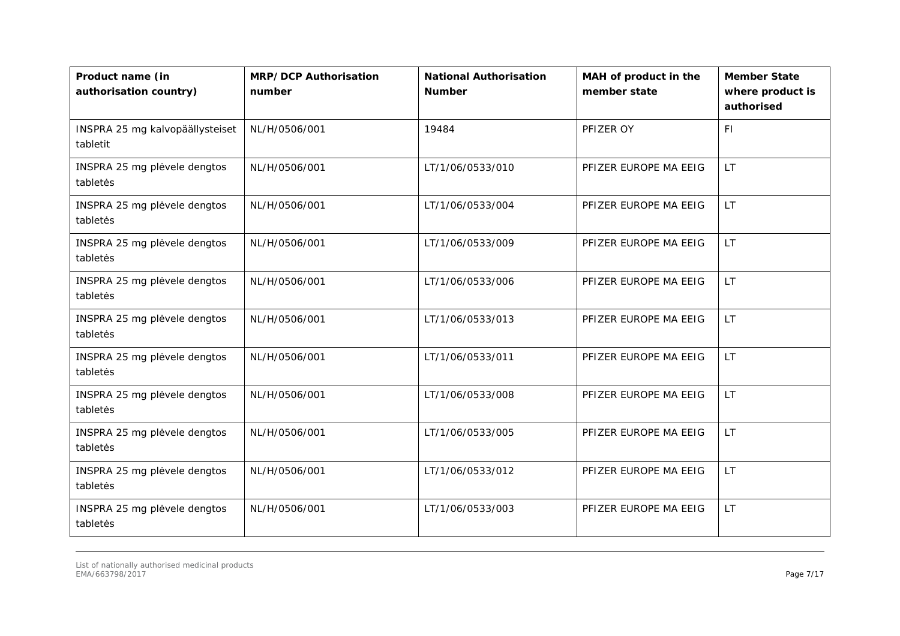| Product name (in<br>authorisation country)  | <b>MRP/DCP Authorisation</b><br>number | <b>National Authorisation</b><br><b>Number</b> | MAH of product in the<br>member state | <b>Member State</b><br>where product is<br>authorised |
|---------------------------------------------|----------------------------------------|------------------------------------------------|---------------------------------------|-------------------------------------------------------|
| INSPRA 25 mg kalvopäällysteiset<br>tabletit | NL/H/0506/001                          | 19484                                          | PFIZER OY                             | <b>FI</b>                                             |
| INSPRA 25 mg plėvele dengtos<br>tabletės    | NL/H/0506/001                          | LT/1/06/0533/010                               | PFIZER EUROPE MA EEIG                 | <b>LT</b>                                             |
| INSPRA 25 mg plėvele dengtos<br>tabletės    | NL/H/0506/001                          | LT/1/06/0533/004                               | PFIZER EUROPE MA EEIG                 | <b>LT</b>                                             |
| INSPRA 25 mg plėvele dengtos<br>tabletės    | NL/H/0506/001                          | LT/1/06/0533/009                               | PFIZER EUROPE MA EEIG                 | <b>LT</b>                                             |
| INSPRA 25 mg plėvele dengtos<br>tabletės    | NL/H/0506/001                          | LT/1/06/0533/006                               | PFIZER EUROPE MA EEIG                 | LT.                                                   |
| INSPRA 25 mg plėvele dengtos<br>tabletės    | NL/H/0506/001                          | LT/1/06/0533/013                               | PFIZER EUROPE MA EEIG                 | <b>LT</b>                                             |
| INSPRA 25 mg plėvele dengtos<br>tabletės    | NL/H/0506/001                          | LT/1/06/0533/011                               | PFIZER EUROPE MA EEIG                 | <b>LT</b>                                             |
| INSPRA 25 mg plėvele dengtos<br>tabletės    | NL/H/0506/001                          | LT/1/06/0533/008                               | PFIZER EUROPE MA EEIG                 | <b>LT</b>                                             |
| INSPRA 25 mg plėvele dengtos<br>tabletės    | NL/H/0506/001                          | LT/1/06/0533/005                               | PFIZER EUROPE MA EEIG                 | <b>LT</b>                                             |
| INSPRA 25 mg plėvele dengtos<br>tabletės    | NL/H/0506/001                          | LT/1/06/0533/012                               | PFIZER EUROPE MA EEIG                 | <b>LT</b>                                             |
| INSPRA 25 mg plėvele dengtos<br>tabletės    | NL/H/0506/001                          | LT/1/06/0533/003                               | PFIZER EUROPE MA EEIG                 | <b>LT</b>                                             |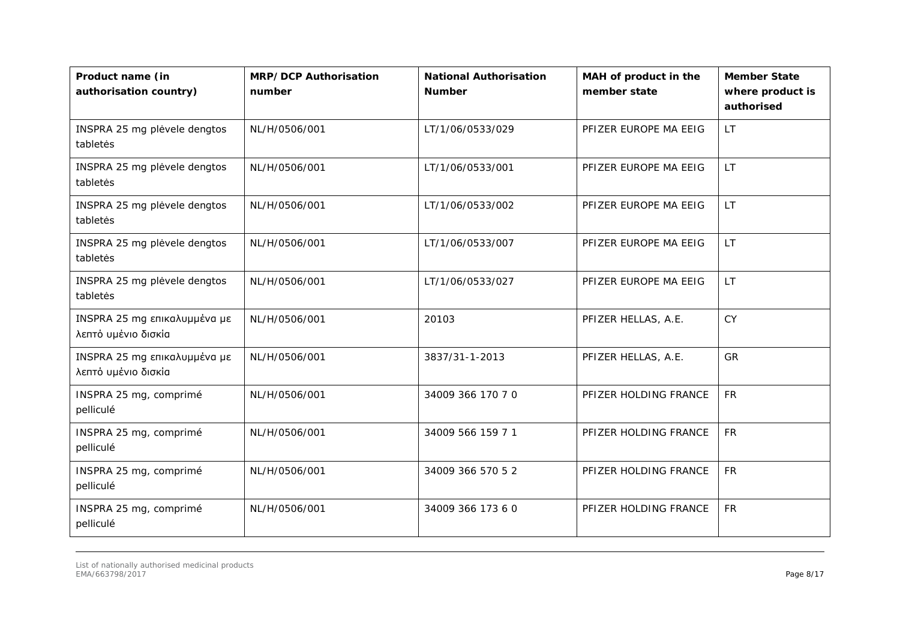| Product name (in<br>authorisation country)          | <b>MRP/DCP Authorisation</b><br>number | <b>National Authorisation</b><br><b>Number</b> | MAH of product in the<br>member state | <b>Member State</b><br>where product is<br>authorised |
|-----------------------------------------------------|----------------------------------------|------------------------------------------------|---------------------------------------|-------------------------------------------------------|
| INSPRA 25 mg plėvele dengtos<br>tabletės            | NL/H/0506/001                          | LT/1/06/0533/029                               | PFIZER EUROPE MA EEIG                 | LT.                                                   |
| INSPRA 25 mg plėvele dengtos<br>tabletės            | NL/H/0506/001                          | LT/1/06/0533/001                               | PFIZER EUROPE MA EEIG                 | <b>LT</b>                                             |
| INSPRA 25 mg plėvele dengtos<br>tabletės            | NL/H/0506/001                          | LT/1/06/0533/002                               | PFIZER EUROPE MA EEIG                 | <b>LT</b>                                             |
| INSPRA 25 mg plėvele dengtos<br>tabletės            | NL/H/0506/001                          | LT/1/06/0533/007                               | PFIZER EUROPE MA EEIG                 | <b>LT</b>                                             |
| INSPRA 25 mg plėvele dengtos<br>tabletės            | NL/H/0506/001                          | LT/1/06/0533/027                               | PFIZER EUROPE MA EEIG                 | LT.                                                   |
| INSPRA 25 mg επικαλυμμένα με<br>λεπτό υμένιο δισκία | NL/H/0506/001                          | 20103                                          | PFIZER HELLAS, A.E.                   | <b>CY</b>                                             |
| INSPRA 25 mg επικαλυμμένα με<br>λεπτό υμένιο δισκία | NL/H/0506/001                          | 3837/31-1-2013                                 | PFIZER HELLAS, A.E.                   | <b>GR</b>                                             |
| INSPRA 25 mg, comprimé<br>pelliculé                 | NL/H/0506/001                          | 34009 366 170 70                               | PFIZER HOLDING FRANCE                 | <b>FR</b>                                             |
| INSPRA 25 mg, comprimé<br>pelliculé                 | NL/H/0506/001                          | 34009 566 159 7 1                              | PFIZER HOLDING FRANCE                 | <b>FR</b>                                             |
| INSPRA 25 mg, comprimé<br>pelliculé                 | NL/H/0506/001                          | 34009 366 570 52                               | PFIZER HOLDING FRANCE                 | <b>FR</b>                                             |
| INSPRA 25 mg, comprimé<br>pelliculé                 | NL/H/0506/001                          | 34009 366 173 6 0                              | PFIZER HOLDING FRANCE                 | <b>FR</b>                                             |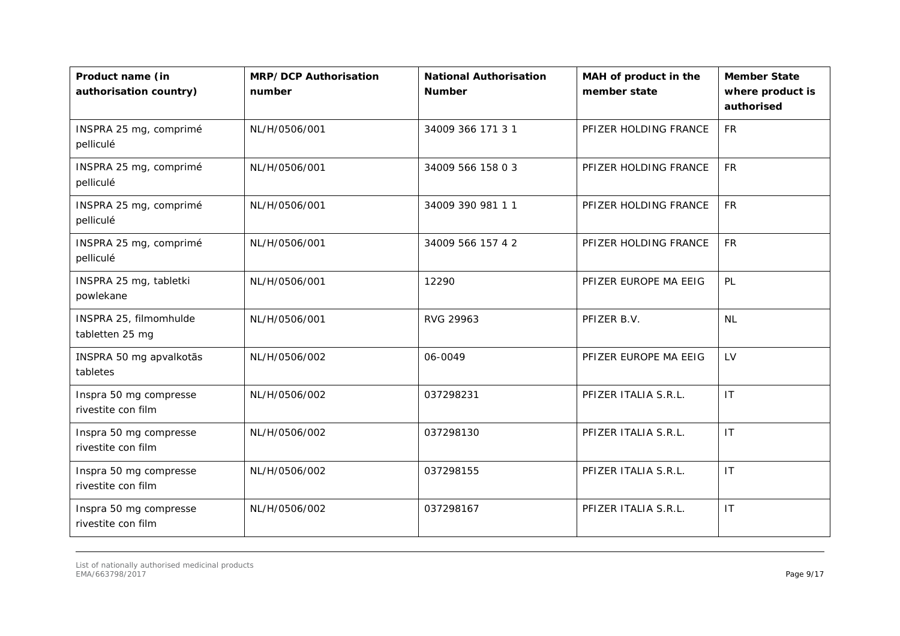| Product name (in<br>authorisation country)   | <b>MRP/DCP Authorisation</b><br>number | <b>National Authorisation</b><br><b>Number</b> | MAH of product in the<br>member state | <b>Member State</b><br>where product is<br>authorised |
|----------------------------------------------|----------------------------------------|------------------------------------------------|---------------------------------------|-------------------------------------------------------|
| INSPRA 25 mg, comprimé<br>pelliculé          | NL/H/0506/001                          | 34009 366 171 3 1                              | PFIZER HOLDING FRANCE                 | <b>FR</b>                                             |
| INSPRA 25 mg, comprimé<br>pelliculé          | NL/H/0506/001                          | 34009 566 158 0 3                              | PFIZER HOLDING FRANCE                 | <b>FR</b>                                             |
| INSPRA 25 mg, comprimé<br>pelliculé          | NL/H/0506/001                          | 34009 390 981 11                               | PFIZER HOLDING FRANCE                 | <b>FR</b>                                             |
| INSPRA 25 mg, comprimé<br>pelliculé          | NL/H/0506/001                          | 34009 566 157 4 2                              | PFIZER HOLDING FRANCE                 | <b>FR</b>                                             |
| INSPRA 25 mg, tabletki<br>powlekane          | NL/H/0506/001                          | 12290                                          | PFIZER EUROPE MA EEIG                 | PL                                                    |
| INSPRA 25, filmomhulde<br>tabletten 25 mg    | NL/H/0506/001                          | RVG 29963                                      | PFIZER B.V.                           | <b>NL</b>                                             |
| INSPRA 50 mg apvalkotās<br>tabletes          | NL/H/0506/002                          | 06-0049                                        | PFIZER EUROPE MA EEIG                 | LV                                                    |
| Inspra 50 mg compresse<br>rivestite con film | NL/H/0506/002                          | 037298231                                      | PFIZER ITALIA S.R.L.                  | IT                                                    |
| Inspra 50 mg compresse<br>rivestite con film | NL/H/0506/002                          | 037298130                                      | PFIZER ITALIA S.R.L.                  | IT                                                    |
| Inspra 50 mg compresse<br>rivestite con film | NL/H/0506/002                          | 037298155                                      | PFIZER ITALIA S.R.L.                  | $\mathsf{I}\mathsf{T}$                                |
| Inspra 50 mg compresse<br>rivestite con film | NL/H/0506/002                          | 037298167                                      | PFIZER ITALIA S.R.L.                  | IT                                                    |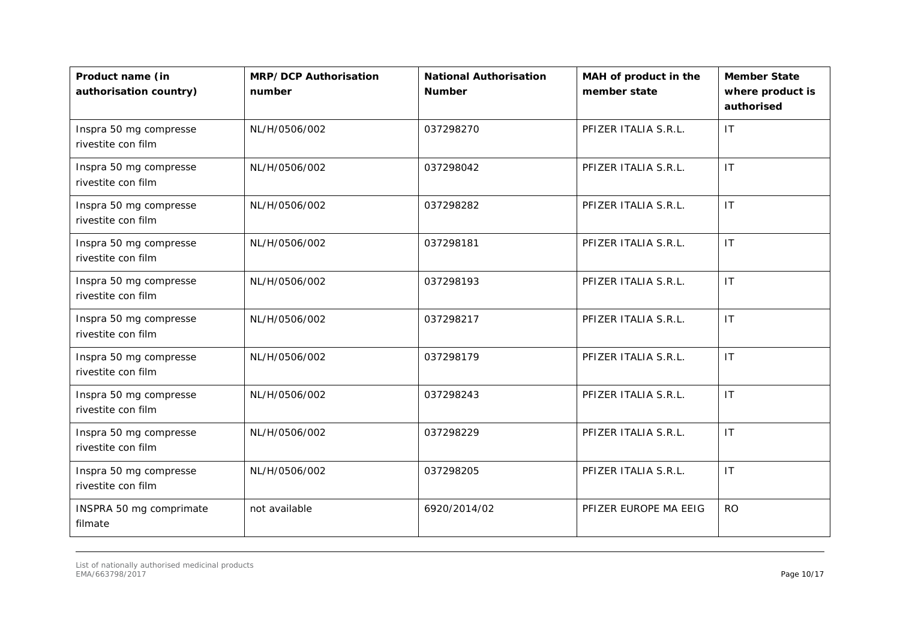| Product name (in<br>authorisation country)   | <b>MRP/DCP Authorisation</b><br>number | <b>National Authorisation</b><br><b>Number</b> | MAH of product in the<br>member state | <b>Member State</b><br>where product is<br>authorised |
|----------------------------------------------|----------------------------------------|------------------------------------------------|---------------------------------------|-------------------------------------------------------|
| Inspra 50 mg compresse<br>rivestite con film | NL/H/0506/002                          | 037298270                                      | PFIZER ITALIA S.R.L.                  | IT.                                                   |
| Inspra 50 mg compresse<br>rivestite con film | NL/H/0506/002                          | 037298042                                      | PFIZER ITALIA S.R.L.                  | <b>IT</b>                                             |
| Inspra 50 mg compresse<br>rivestite con film | NL/H/0506/002                          | 037298282                                      | PFIZER ITALIA S.R.L.                  | IT                                                    |
| Inspra 50 mg compresse<br>rivestite con film | NL/H/0506/002                          | 037298181                                      | PFIZER ITALIA S.R.L.                  | IT                                                    |
| Inspra 50 mg compresse<br>rivestite con film | NL/H/0506/002                          | 037298193                                      | PFIZER ITALIA S.R.L.                  | <b>IT</b>                                             |
| Inspra 50 mg compresse<br>rivestite con film | NL/H/0506/002                          | 037298217                                      | PFIZER ITALIA S.R.L.                  | IT                                                    |
| Inspra 50 mg compresse<br>rivestite con film | NL/H/0506/002                          | 037298179                                      | PFIZER ITALIA S.R.L.                  | IT                                                    |
| Inspra 50 mg compresse<br>rivestite con film | NL/H/0506/002                          | 037298243                                      | PFIZER ITALIA S.R.L.                  | IT                                                    |
| Inspra 50 mg compresse<br>rivestite con film | NL/H/0506/002                          | 037298229                                      | PFIZER ITALIA S.R.L.                  | $\mathsf{I}\mathsf{T}$                                |
| Inspra 50 mg compresse<br>rivestite con film | NL/H/0506/002                          | 037298205                                      | PFIZER ITALIA S.R.L.                  | IT                                                    |
| INSPRA 50 mg comprimate<br>filmate           | not available                          | 6920/2014/02                                   | PFIZER EUROPE MA EEIG                 | <b>RO</b>                                             |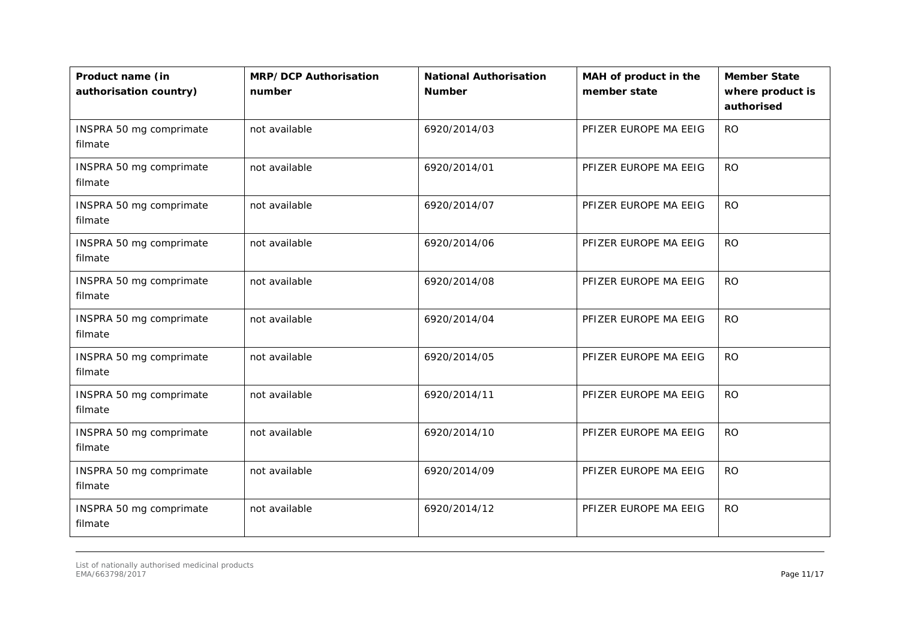| Product name (in<br>authorisation country) | <b>MRP/DCP Authorisation</b><br>number | <b>National Authorisation</b><br><b>Number</b> | MAH of product in the<br>member state | <b>Member State</b><br>where product is<br>authorised |
|--------------------------------------------|----------------------------------------|------------------------------------------------|---------------------------------------|-------------------------------------------------------|
| INSPRA 50 mg comprimate<br>filmate         | not available                          | 6920/2014/03                                   | PFIZER EUROPE MA EEIG                 | <b>RO</b>                                             |
| INSPRA 50 mg comprimate<br>filmate         | not available                          | 6920/2014/01                                   | PFIZER EUROPE MA EEIG                 | <b>RO</b>                                             |
| INSPRA 50 mg comprimate<br>filmate         | not available                          | 6920/2014/07                                   | PFIZER EUROPE MA EEIG                 | <b>RO</b>                                             |
| INSPRA 50 mg comprimate<br>filmate         | not available                          | 6920/2014/06                                   | PFIZER EUROPE MA EEIG                 | <b>RO</b>                                             |
| INSPRA 50 mg comprimate<br>filmate         | not available                          | 6920/2014/08                                   | PFIZER EUROPE MA EEIG                 | <b>RO</b>                                             |
| INSPRA 50 mg comprimate<br>filmate         | not available                          | 6920/2014/04                                   | PFIZER EUROPE MA EEIG                 | <b>RO</b>                                             |
| INSPRA 50 mg comprimate<br>filmate         | not available                          | 6920/2014/05                                   | PFIZER EUROPE MA EEIG                 | <b>RO</b>                                             |
| INSPRA 50 mg comprimate<br>filmate         | not available                          | 6920/2014/11                                   | PFIZER EUROPE MA EEIG                 | <b>RO</b>                                             |
| INSPRA 50 mg comprimate<br>filmate         | not available                          | 6920/2014/10                                   | PFIZER EUROPE MA EEIG                 | <b>RO</b>                                             |
| INSPRA 50 mg comprimate<br>filmate         | not available                          | 6920/2014/09                                   | PFIZER EUROPE MA EEIG                 | <b>RO</b>                                             |
| INSPRA 50 mg comprimate<br>filmate         | not available                          | 6920/2014/12                                   | PFIZER EUROPE MA EEIG                 | <b>RO</b>                                             |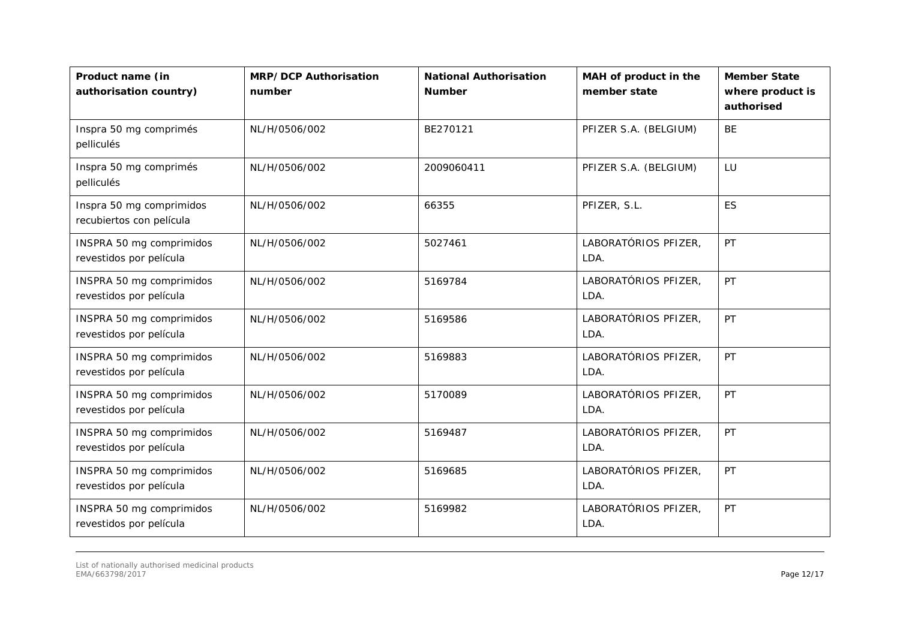| Product name (in<br>authorisation country)           | <b>MRP/DCP Authorisation</b><br>number | <b>National Authorisation</b><br><b>Number</b> | MAH of product in the<br>member state | <b>Member State</b><br>where product is<br>authorised |
|------------------------------------------------------|----------------------------------------|------------------------------------------------|---------------------------------------|-------------------------------------------------------|
| Inspra 50 mg comprimés<br>pelliculés                 | NL/H/0506/002                          | BE270121                                       | PFIZER S.A. (BELGIUM)                 | BE                                                    |
| Inspra 50 mg comprimés<br>pelliculés                 | NL/H/0506/002                          | 2009060411                                     | PFIZER S.A. (BELGIUM)                 | LU                                                    |
| Inspra 50 mg comprimidos<br>recubiertos con película | NL/H/0506/002                          | 66355                                          | PFIZER, S.L.                          | ES                                                    |
| INSPRA 50 mg comprimidos<br>revestidos por película  | NL/H/0506/002                          | 5027461                                        | LABORATÓRIOS PFIZER,<br>LDA.          | PT                                                    |
| INSPRA 50 mg comprimidos<br>revestidos por película  | NL/H/0506/002                          | 5169784                                        | LABORATÓRIOS PFIZER,<br>LDA.          | PT                                                    |
| INSPRA 50 mg comprimidos<br>revestidos por película  | NL/H/0506/002                          | 5169586                                        | LABORATÓRIOS PFIZER,<br>LDA.          | PT                                                    |
| INSPRA 50 mg comprimidos<br>revestidos por película  | NL/H/0506/002                          | 5169883                                        | LABORATÓRIOS PFIZER,<br>LDA.          | PT                                                    |
| INSPRA 50 mg comprimidos<br>revestidos por película  | NL/H/0506/002                          | 5170089                                        | LABORATÓRIOS PFIZER,<br>LDA.          | PT                                                    |
| INSPRA 50 mg comprimidos<br>revestidos por película  | NL/H/0506/002                          | 5169487                                        | LABORATÓRIOS PFIZER,<br>LDA.          | PT                                                    |
| INSPRA 50 mg comprimidos<br>revestidos por película  | NL/H/0506/002                          | 5169685                                        | LABORATÓRIOS PFIZER,<br>LDA.          | PT                                                    |
| INSPRA 50 mg comprimidos<br>revestidos por película  | NL/H/0506/002                          | 5169982                                        | LABORATÓRIOS PFIZER,<br>LDA.          | PT                                                    |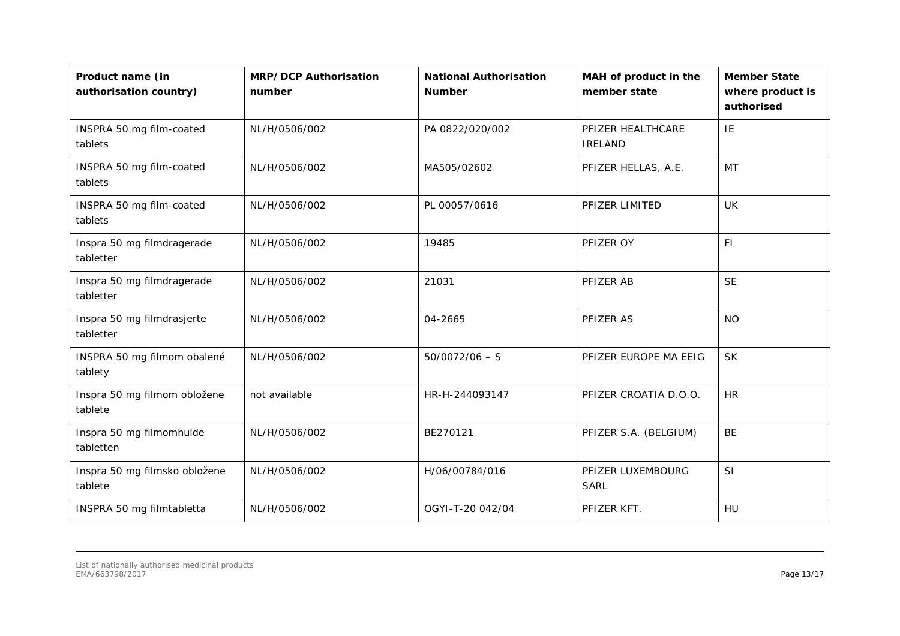| Product name (in<br>authorisation country) | <b>MRP/DCP Authorisation</b><br>number | <b>National Authorisation</b><br><b>Number</b> | MAH of product in the<br>member state | <b>Member State</b><br>where product is<br>authorised |
|--------------------------------------------|----------------------------------------|------------------------------------------------|---------------------------------------|-------------------------------------------------------|
| INSPRA 50 mg film-coated<br>tablets        | NL/H/0506/002                          | PA 0822/020/002                                | PFIZER HEALTHCARE<br><b>IRELAND</b>   | IE                                                    |
| INSPRA 50 mg film-coated<br>tablets        | NL/H/0506/002                          | MA505/02602                                    | PFIZER HELLAS, A.E.                   | <b>MT</b>                                             |
| INSPRA 50 mg film-coated<br>tablets        | NL/H/0506/002                          | PL 00057/0616                                  | PFIZER LIMITED                        | <b>UK</b>                                             |
| Inspra 50 mg filmdragerade<br>tabletter    | NL/H/0506/002                          | 19485                                          | PFIZER OY                             | F1                                                    |
| Inspra 50 mg filmdragerade<br>tabletter    | NL/H/0506/002                          | 21031                                          | PFIZER AB                             | <b>SE</b>                                             |
| Inspra 50 mg filmdrasjerte<br>tabletter    | NL/H/0506/002                          | 04-2665                                        | PFIZER AS                             | <b>NO</b>                                             |
| INSPRA 50 mg filmom obalené<br>tablety     | NL/H/0506/002                          | $50/0072/06 - S$                               | PFIZER EUROPE MA EEIG                 | <b>SK</b>                                             |
| Inspra 50 mg filmom obložene<br>tablete    | not available                          | HR-H-244093147                                 | PFIZER CROATIA D.O.O.                 | <b>HR</b>                                             |
| Inspra 50 mg filmomhulde<br>tabletten      | NL/H/0506/002                          | BE270121                                       | PFIZER S.A. (BELGIUM)                 | <b>BE</b>                                             |
| Inspra 50 mg filmsko obložene<br>tablete   | NL/H/0506/002                          | H/06/00784/016                                 | PFIZER LUXEMBOURG<br><b>SARL</b>      | SI                                                    |
| INSPRA 50 mg filmtabletta                  | NL/H/0506/002                          | OGYI-T-20 042/04                               | PFIZER KFT.                           | HU                                                    |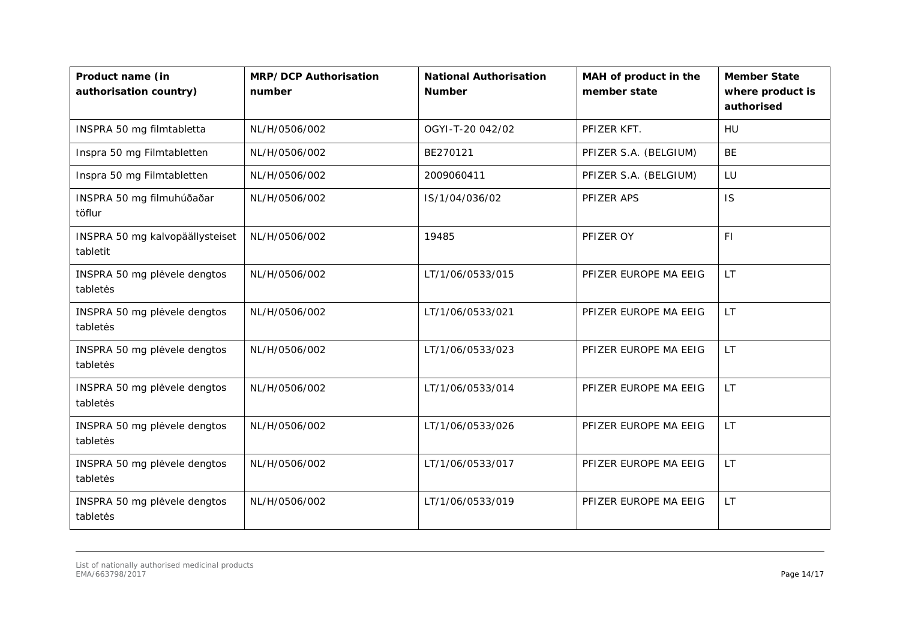| Product name (in<br>authorisation country)  | <b>MRP/DCP Authorisation</b><br>number | <b>National Authorisation</b><br><b>Number</b> | MAH of product in the<br>member state | <b>Member State</b><br>where product is<br>authorised |
|---------------------------------------------|----------------------------------------|------------------------------------------------|---------------------------------------|-------------------------------------------------------|
| INSPRA 50 mg filmtabletta                   | NL/H/0506/002                          | OGYI-T-20 042/02                               | PFIZER KFT.                           | <b>HU</b>                                             |
| Inspra 50 mg Filmtabletten                  | NL/H/0506/002                          | BE270121                                       | PFIZER S.A. (BELGIUM)                 | <b>BE</b>                                             |
| Inspra 50 mg Filmtabletten                  | NL/H/0506/002                          | 2009060411                                     | PFIZER S.A. (BELGIUM)                 | LU                                                    |
| INSPRA 50 mg filmuhúðaðar<br>töflur         | NL/H/0506/002                          | IS/1/04/036/02                                 | PFIZER APS                            | IS                                                    |
| INSPRA 50 mg kalvopäällysteiset<br>tabletit | NL/H/0506/002                          | 19485                                          | PFIZER OY                             | F1                                                    |
| INSPRA 50 mg plėvele dengtos<br>tabletės    | NL/H/0506/002                          | LT/1/06/0533/015                               | PFIZER EUROPE MA EEIG                 | LT.                                                   |
| INSPRA 50 mg plėvele dengtos<br>tabletės    | NL/H/0506/002                          | LT/1/06/0533/021                               | PFIZER EUROPE MA EEIG                 | LT.                                                   |
| INSPRA 50 mg plėvele dengtos<br>tabletės    | NL/H/0506/002                          | LT/1/06/0533/023                               | PFIZER EUROPE MA EEIG                 | LT.                                                   |
| INSPRA 50 mg plėvele dengtos<br>tabletės    | NL/H/0506/002                          | LT/1/06/0533/014                               | PFIZER EUROPE MA EEIG                 | LT.                                                   |
| INSPRA 50 mg plėvele dengtos<br>tabletės    | NL/H/0506/002                          | LT/1/06/0533/026                               | PFIZER EUROPE MA EEIG                 | <b>LT</b>                                             |
| INSPRA 50 mg plėvele dengtos<br>tabletės    | NL/H/0506/002                          | LT/1/06/0533/017                               | PFIZER EUROPE MA EEIG                 | LT.                                                   |
| INSPRA 50 mg plėvele dengtos<br>tabletės    | NL/H/0506/002                          | LT/1/06/0533/019                               | PFIZER EUROPE MA EEIG                 | LT.                                                   |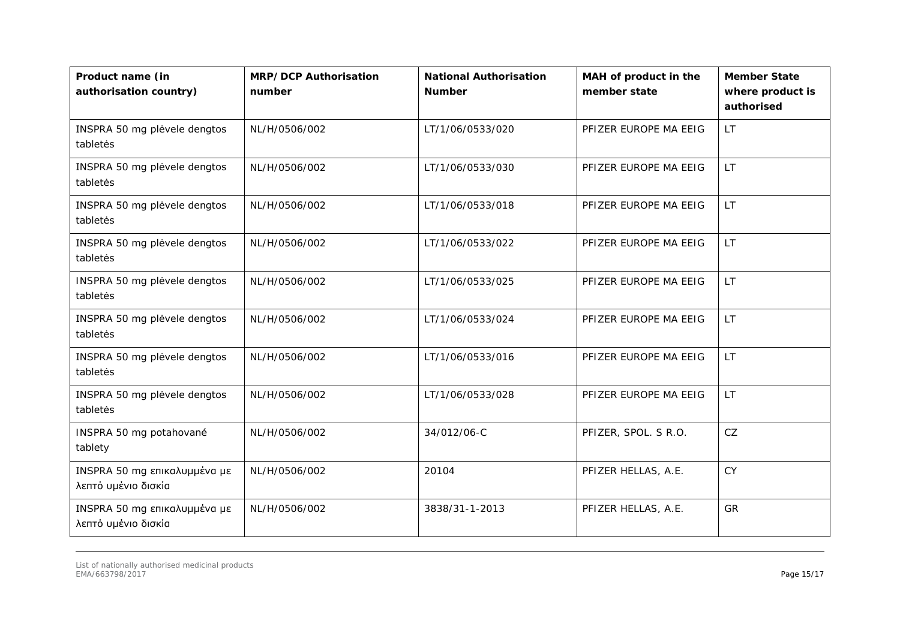| Product name (in<br>authorisation country)          | <b>MRP/DCP Authorisation</b><br>number | <b>National Authorisation</b><br><b>Number</b> | MAH of product in the<br>member state | <b>Member State</b><br>where product is<br>authorised |
|-----------------------------------------------------|----------------------------------------|------------------------------------------------|---------------------------------------|-------------------------------------------------------|
| INSPRA 50 mg plėvele dengtos<br>tabletės            | NL/H/0506/002                          | LT/1/06/0533/020                               | PFIZER EUROPE MA EEIG                 | LT.                                                   |
| INSPRA 50 mg plėvele dengtos<br>tabletės            | NL/H/0506/002                          | LT/1/06/0533/030                               | PFIZER EUROPE MA EEIG                 | LT.                                                   |
| INSPRA 50 mg plėvele dengtos<br>tabletės            | NL/H/0506/002                          | LT/1/06/0533/018                               | PFIZER EUROPE MA EEIG                 | LT.                                                   |
| INSPRA 50 mg plėvele dengtos<br>tabletės            | NL/H/0506/002                          | LT/1/06/0533/022                               | PFIZER EUROPE MA EEIG                 | LT.                                                   |
| INSPRA 50 mg plėvele dengtos<br>tabletės            | NL/H/0506/002                          | LT/1/06/0533/025                               | PFIZER EUROPE MA EEIG                 | LT.                                                   |
| INSPRA 50 mg plėvele dengtos<br>tabletės            | NL/H/0506/002                          | LT/1/06/0533/024                               | PFIZER EUROPE MA EEIG                 | <b>LT</b>                                             |
| INSPRA 50 mg plėvele dengtos<br>tabletės            | NL/H/0506/002                          | LT/1/06/0533/016                               | PFIZER EUROPE MA EEIG                 | LT.                                                   |
| INSPRA 50 mg plėvele dengtos<br>tabletės            | NL/H/0506/002                          | LT/1/06/0533/028                               | PFIZER EUROPE MA EEIG                 | LT.                                                   |
| INSPRA 50 mg potahované<br>tablety                  | NL/H/0506/002                          | 34/012/06-C                                    | PFIZER, SPOL. S R.O.                  | CZ                                                    |
| INSPRA 50 mg επικαλυμμένα με<br>λεπτό υμένιο δισκία | NL/H/0506/002                          | 20104                                          | PFIZER HELLAS, A.E.                   | <b>CY</b>                                             |
| INSPRA 50 mg επικαλυμμένα με<br>λεπτό υμένιο δισκία | NL/H/0506/002                          | 3838/31-1-2013                                 | PFIZER HELLAS, A.E.                   | GR                                                    |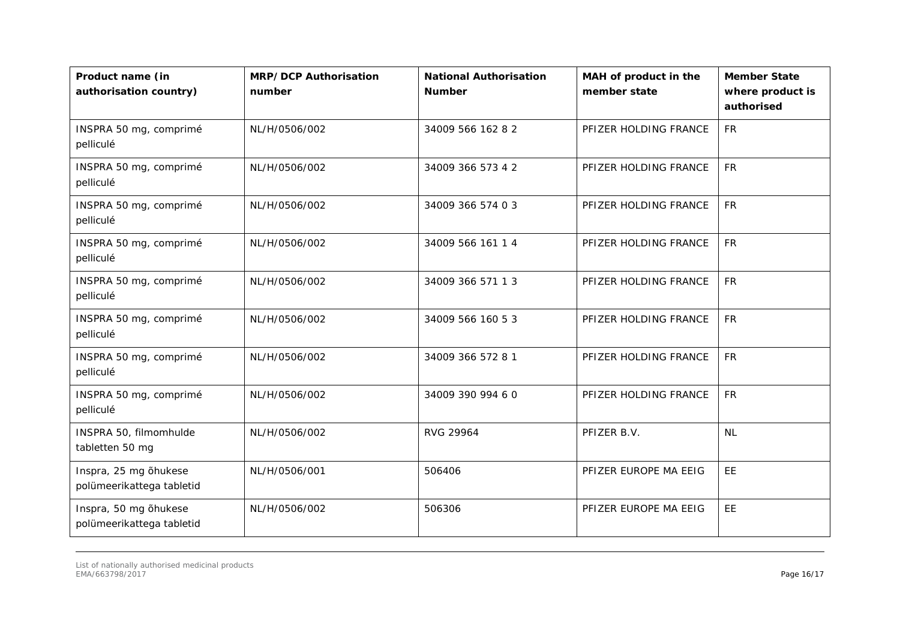| Product name (in<br>authorisation country)         | <b>MRP/DCP Authorisation</b><br>number | <b>National Authorisation</b><br><b>Number</b> | MAH of product in the<br>member state | <b>Member State</b><br>where product is<br>authorised |
|----------------------------------------------------|----------------------------------------|------------------------------------------------|---------------------------------------|-------------------------------------------------------|
| INSPRA 50 mg, comprimé<br>pelliculé                | NL/H/0506/002                          | 34009 566 162 8 2                              | PFIZER HOLDING FRANCE                 | <b>FR</b>                                             |
| INSPRA 50 mg, comprimé<br>pelliculé                | NL/H/0506/002                          | 34009 366 573 4 2                              | PFIZER HOLDING FRANCE                 | <b>FR</b>                                             |
| INSPRA 50 mg, comprimé<br>pelliculé                | NL/H/0506/002                          | 34009 366 574 0 3                              | PFIZER HOLDING FRANCE                 | <b>FR</b>                                             |
| INSPRA 50 mg, comprimé<br>pelliculé                | NL/H/0506/002                          | 34009 566 161 1 4                              | PFIZER HOLDING FRANCE                 | <b>FR</b>                                             |
| INSPRA 50 mg, comprimé<br>pelliculé                | NL/H/0506/002                          | 34009 366 571 1 3                              | PFIZER HOLDING FRANCE                 | <b>FR</b>                                             |
| INSPRA 50 mg, comprimé<br>pelliculé                | NL/H/0506/002                          | 34009 566 160 53                               | PFIZER HOLDING FRANCE                 | <b>FR</b>                                             |
| INSPRA 50 mg, comprimé<br>pelliculé                | NL/H/0506/002                          | 34009 366 572 8 1                              | PFIZER HOLDING FRANCE                 | <b>FR</b>                                             |
| INSPRA 50 mg, comprimé<br>pelliculé                | NL/H/0506/002                          | 34009 390 994 60                               | PFIZER HOLDING FRANCE                 | <b>FR</b>                                             |
| INSPRA 50, filmomhulde<br>tabletten 50 mg          | NL/H/0506/002                          | RVG 29964                                      | PFIZER B.V.                           | <b>NL</b>                                             |
| Inspra, 25 mg õhukese<br>polümeerikattega tabletid | NL/H/0506/001                          | 506406                                         | PFIZER EUROPE MA EEIG                 | <b>EE</b>                                             |
| Inspra, 50 mg õhukese<br>polümeerikattega tabletid | NL/H/0506/002                          | 506306                                         | PFIZER EUROPE MA EEIG                 | <b>EE</b>                                             |